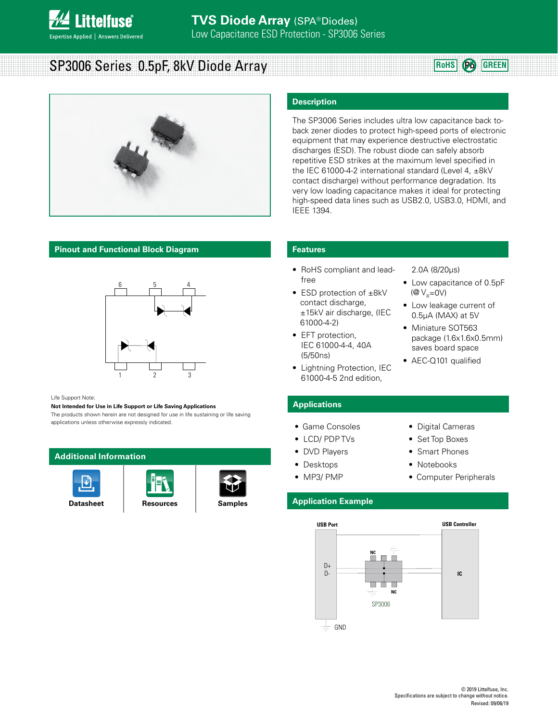

# SP3006 Series 0.5pF, 8kV Diode Array

**RoHS Pb GREEN**



### **Pinout and Functional Block Diagram**



### Life Support Note:

### **Not Intended for Use in Life Support or Life Saving Applications**

The products shown herein are not designed for use in life sustaining or life saving applications unless otherwise expressly indicated.

### **Additional Information**







### **Description**

The SP3006 Series includes ultra low capacitance back toback zener diodes to protect high-speed ports of electronic equipment that may experience destructive electrostatic discharges (ESD). The robust diode can safely absorb repetitive ESD strikes at the maximum level specified in the IEC 61000-4-2 international standard (Level 4,  $\pm$ 8kV contact discharge) without performance degradation. Its very low loading capacitance makes it ideal for protecting high-speed data lines such as USB2.0, USB3.0, HDMI, and IEEE 1394.

### **Features**

- RoHS compliant and leadfree
- ESD protection of ±8kV contact discharge, ±15kV air discharge, (IEC 61000-4-2)
- EFT protection, IEC 61000-4-4, 40A (5/50ns)
- Lightning Protection, IEC 61000-4-5 2nd edition,

### 2.0A (8/20µs)

- Low capacitance of 0.5pF ( $\mathcal{Q}V_{\mathrm{p}}=0V$ )
- Low leakage current of 0.5μA (MAX) at 5V
- Miniature SOT563 package (1.6x1.6x0.5mm) saves board space
- AEC-Q101 qualified

• Digital Cameras • Set Top Boxes • Smart Phones • Notebooks

• Computer Peripherals

### **Applications**

- Game Consoles
- LCD/ PDP TVs
- DVD Players
- Desktops
- MP3/ PMP

### **Application Example**

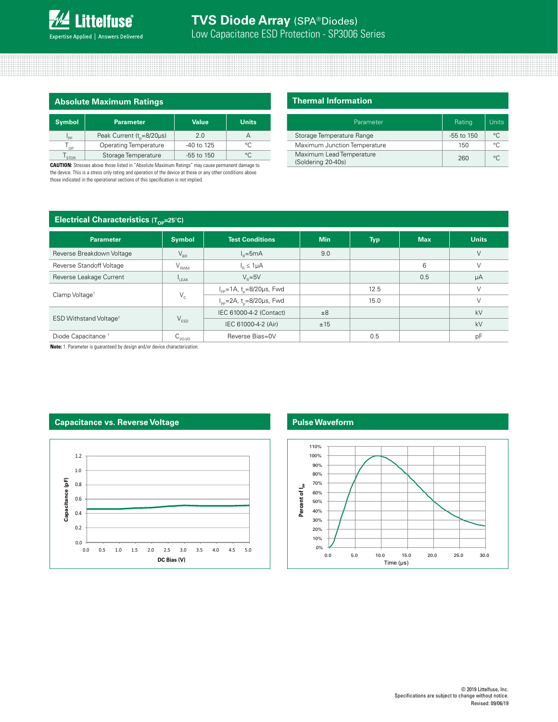

| <b>Absolute Maximum Ratings</b> |                                       |                |              |  |  |
|---------------------------------|---------------------------------------|----------------|--------------|--|--|
| <b>Symbol</b>                   | <b>Parameter</b>                      | <b>Value</b>   | <b>Units</b> |  |  |
| <sup>1</sup> PP                 | Peak Current (t <sub>n</sub> =8/20µs) | 2.0            | А            |  |  |
| $T_{_{OP}}$                     | <b>Operating Temperature</b>          | -40 to 125     | $^{\circ}C$  |  |  |
| STOR                            | Storage Temperature                   | $-55$ to $150$ | $^{\circ}$   |  |  |

**CAUTION:** Stresses above those listed in "Absolute Maximum Ratings" may cause permanent damage to the device. This is a stress only rating and operation of the device at these or any other conditions above those indicated in the operational sections of this specification is not implied.

### **Thermal Information**

| Parameter                                      | Rating         | Units   |
|------------------------------------------------|----------------|---------|
| Storage Temperature Range                      | $-55$ to $150$ | $\circ$ |
| Maximum Junction Temperature                   | 150            | $\circ$ |
| Maximum Lead Temperature<br>(Soldering 20-40s) | 260            | $\circ$ |

### **Electrical Characteristics (T<sub>op</sub>=25°C)**

| ◡                                  |                             |                                                  |            |            |            |              |
|------------------------------------|-----------------------------|--------------------------------------------------|------------|------------|------------|--------------|
| <b>Parameter</b>                   | <b>Symbol</b>               | <b>Test Conditions</b>                           | <b>Min</b> | <b>Typ</b> | <b>Max</b> | <b>Units</b> |
| Reverse Breakdown Voltage          | $V_{\text{BR}}$             | $I_{n} = 5mA$                                    | 9.0        |            |            | V            |
| Reverse Standoff Voltage           | $\mathsf{V}_{\mathsf{RWM}}$ | $I_n \leq 1 \mu A$                               |            |            | 6          | V            |
| Reverse Leakage Current            | LEAK                        | $V_{\rm g} = 5V$                                 |            |            | 0.5        | μA           |
| Clamp Voltage <sup>1</sup>         | $V_c$                       | $I_{\text{pp}}$ =1A, t <sub>n</sub> =8/20µs, Fwd |            | 12.5       |            |              |
|                                    |                             | $I_{\rm pp}$ =2A, t <sub>n</sub> =8/20µs, Fwd    |            | 15.0       |            |              |
| ESD Withstand Voltage <sup>1</sup> | $V_{ESD}$                   | IEC 61000-4-2 (Contact)                          | ±8         |            |            | kV           |
|                                    |                             | IEC 61000-4-2 (Air)                              | ±15        |            |            | kV           |
| Diode Capacitance <sup>1</sup>     | <b>C</b> <sub>I/O-I/O</sub> | Reverse Bias=0V                                  |            | 0.5        |            | pF           |

**Note:** 1. Parameter is guaranteed by design and/or device characterization.

### **Capacitance vs. Reverse Voltage**



### **Pulse Waveform**

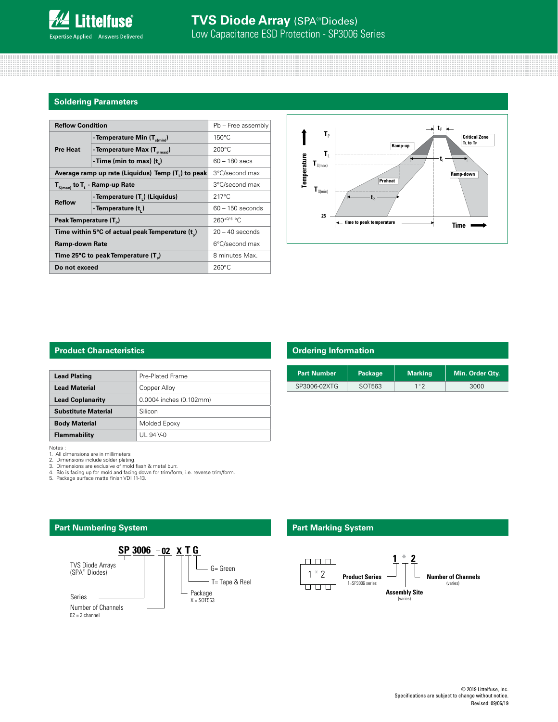

| <b>Reflow Condition</b>                         | Pb - Free assembly                                |                    |  |
|-------------------------------------------------|---------------------------------------------------|--------------------|--|
|                                                 | - Temperature Min $(T_{s(min)})$                  | $150^{\circ}$ C    |  |
| <b>Pre Heat</b>                                 | - Temperature Max $(T_{s(max)})$                  | $200^{\circ}$ C    |  |
|                                                 | - Time (min to max) $(t_2)$                       | $60 - 180$ secs    |  |
|                                                 | Average ramp up rate (Liquidus) Temp (T,) to peak | 3°C/second max     |  |
| $T_{\rm s(max)}$ to $T_{\rm L}$ - Ramp-up Rate  |                                                   | 3°C/second max     |  |
| <b>Reflow</b>                                   | - Temperature (T <sub>1</sub> ) (Liquidus)        | $217^{\circ}$ C    |  |
|                                                 | - Temperature (t)                                 | $60 - 150$ seconds |  |
| Peak Temperature (T <sub>n</sub> )              |                                                   | $260^{+0/5}$ °C    |  |
| Time within 5°C of actual peak Temperature (t)  |                                                   | $20 - 40$ seconds  |  |
| Ramp-down Rate                                  |                                                   | 6°C/second max     |  |
| Time 25°C to peak Temperature (T <sub>p</sub> ) |                                                   | 8 minutes Max.     |  |
| Do not exceed                                   |                                                   | $260^{\circ}$ C    |  |



### **Product Characteristics**

| <b>Lead Plating</b>        | Pre-Plated Frame        |
|----------------------------|-------------------------|
| <b>Lead Material</b>       | Copper Alloy            |
| <b>Lead Coplanarity</b>    | 0.0004 inches (0.102mm) |
| <b>Substitute Material</b> | Silicon                 |
| <b>Body Material</b>       | Molded Epoxy            |
| Flammability               | UL 94 V-0               |

Notes :

1. All dimensions are in millimeters 2. Dimensions include solder plating.

3. Dimensions are exclusive of mold flash & metal burr.

4. Blo is facing up for mold and facing down for trim/form, i.e. reverse trim/form. 5. Package surface matte finish VDI 11-13.

**SP 3006 T G 02 X**

G= Green TVS Diode Arrays

Package X = SOT563

T= Tape & Reel

**Part Numbering System**

Series

(SPA® Diodes)

Number of Channels<br>02 = 2 channel

| <b>Ordering Information</b> |         |                |                 |  |  |
|-----------------------------|---------|----------------|-----------------|--|--|
|                             |         |                |                 |  |  |
| <b>Part Number</b>          | Package | <b>Marking</b> | Min. Order Qty. |  |  |
| SP3006-02XTG                | SOT563  | $1*2$          | 3000            |  |  |

# **Part Marking System**